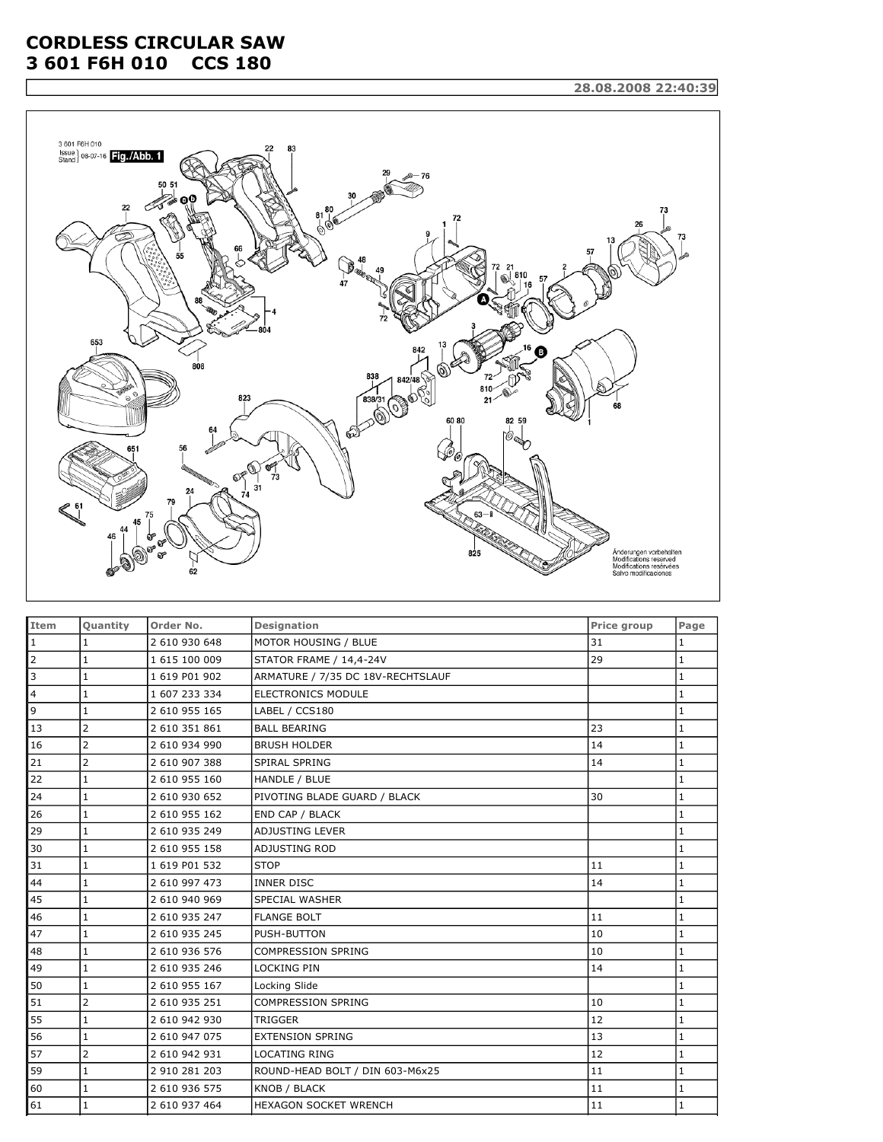## **CORDLESS CIRCULAR SAW 3 601 F6H 010 CCS 180**



| Item           | Quantity       | Order No.     | <b>Designation</b>                | Price group | Page         |
|----------------|----------------|---------------|-----------------------------------|-------------|--------------|
| $\mathbf{1}$   | $\mathbf{1}$   | 2 610 930 648 | MOTOR HOUSING / BLUE              | 31          | $\mathbf{1}$ |
| $\overline{2}$ | $\mathbf{1}$   | 1 615 100 009 | <b>STATOR FRAME / 14,4-24V</b>    | 29          | 1            |
| 3              | $\mathbf{1}$   | 1 619 P01 902 | ARMATURE / 7/35 DC 18V-RECHTSLAUF |             | 1            |
| 4              | $\mathbf{1}$   | 1 607 233 334 | <b>ELECTRONICS MODULE</b>         |             | 1            |
| 9              | $\mathbf{1}$   | 2 610 955 165 | LABEL / CCS180                    |             | $\mathbf{1}$ |
| 13             | $\overline{2}$ | 2 610 351 861 | <b>BALL BEARING</b>               | 23          | 1            |
| 16             | $\overline{2}$ | 2 610 934 990 | <b>BRUSH HOLDER</b>               | 14          | $\mathbf{1}$ |
| 21             | $\overline{2}$ | 2 610 907 388 | SPIRAL SPRING                     | 14          | $\mathbf{1}$ |
| 22             | $\mathbf{1}$   | 2 610 955 160 | HANDLE / BLUE                     |             | 1            |
| 24             | $\mathbf{1}$   | 2 610 930 652 | PIVOTING BLADE GUARD / BLACK      | 30          | 1            |
| 26             | $\mathbf{1}$   | 2 610 955 162 | END CAP / BLACK                   |             | 1            |
| 29             | $\mathbf{1}$   | 2 610 935 249 | ADJUSTING LEVER                   |             | 1            |
| 30             | $\mathbf{1}$   | 2 610 955 158 | ADJUSTING ROD                     |             | $\mathbf{1}$ |
| 31             | $\mathbf{1}$   | 1 619 P01 532 | <b>STOP</b>                       | 11          | $\mathbf{1}$ |
| 44             | $\mathbf{1}$   | 2 610 997 473 | <b>INNER DISC</b>                 | 14          | $\mathbf{1}$ |
| 45             | $\mathbf{1}$   | 2 610 940 969 | <b>SPECIAL WASHER</b>             |             | 1            |
| 46             | $\mathbf{1}$   | 2 610 935 247 | <b>FLANGE BOLT</b>                | 11          | $\mathbf{1}$ |
| 47             | 1              | 2 610 935 245 | PUSH-BUTTON                       | 10          | $\mathbf{1}$ |
| 48             | $1\,$          | 2 610 936 576 | <b>COMPRESSION SPRING</b>         | 10          | 1            |
| 49             | $\mathbf{1}$   | 2 610 935 246 | <b>LOCKING PIN</b>                | 14          | 1            |
| 50             | $\mathbf{1}$   | 2 610 955 167 | Locking Slide                     |             | $\mathbf{1}$ |
| 51             | $\overline{2}$ | 2 610 935 251 | <b>COMPRESSION SPRING</b>         | 10          | $\mathbf{1}$ |
| 55             | $\mathbf{1}$   | 2 610 942 930 | <b>TRIGGER</b>                    | 12          | $\mathbf{1}$ |
| 56             | $\mathbf{1}$   | 2 610 947 075 | <b>EXTENSION SPRING</b>           | 13          | $\mathbf{1}$ |
| 57             | $\overline{2}$ | 2 610 942 931 | <b>LOCATING RING</b>              | 12          | 1            |
| 59             | 1              | 2 910 281 203 | ROUND-HEAD BOLT / DIN 603-M6x25   | 11          | 1            |
| 60             | $\mathbf{1}$   | 2 610 936 575 | KNOB / BLACK                      | 11          | $\mathbf{1}$ |
| 61             | $\mathbf{1}$   | 2 610 937 464 | <b>HEXAGON SOCKET WRENCH</b>      | 11          | $\mathbf{1}$ |